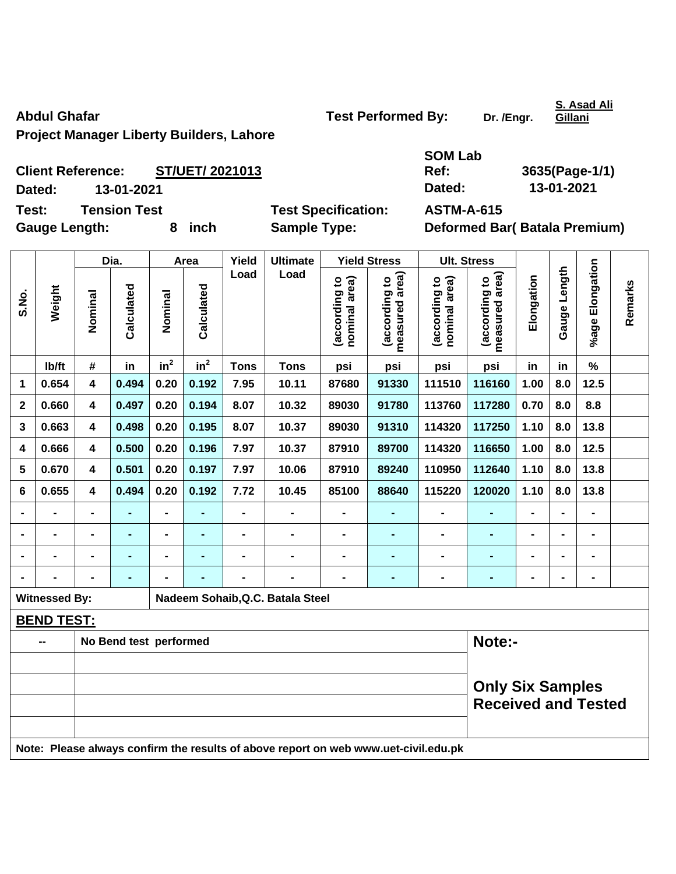**Project Manager Liberty Builders, Lahore** 

**SOM Lab Ref: 3635(Page-1/1)** 

**Client Reference: ST/UET/ 2021013 Dated: 13-01-2021 Dated: 13-01-2021 Test: Tension Test Test Specification: ASTM-A-615** 

Gauge Length: 8 inch Sample Type: Deformed Bar( Batala Premium)

|              |                                                                                     |                                                       | Dia.           |                 | Area       | Yield          | <b>Ultimate</b>                  |                                | <b>Yield Stress</b>             |                                | <b>Ult. Stress</b>              |                              |                |                 |         |
|--------------|-------------------------------------------------------------------------------------|-------------------------------------------------------|----------------|-----------------|------------|----------------|----------------------------------|--------------------------------|---------------------------------|--------------------------------|---------------------------------|------------------------------|----------------|-----------------|---------|
| S.No.        | Weight                                                                              | Nominal                                               | Calculated     | Nominal         | Calculated | Load           | Load                             | (according to<br>nominal area) | measured area)<br>(according to | nominal area)<br>(according to | measured area)<br>(according to | Elongation                   | Gauge Length   | %age Elongation | Remarks |
|              | lb/ft                                                                               | #                                                     | in             | in <sup>2</sup> | $in^2$     | <b>Tons</b>    | <b>Tons</b>                      | psi                            | psi                             | psi                            | psi                             | in                           | in             | $\%$            |         |
| 1            | 0.654                                                                               | $\overline{\mathbf{4}}$                               | 0.494          | 0.20            | 0.192      | 7.95           | 10.11                            | 87680                          | 91330                           | 111510                         | 116160                          | 1.00                         | 8.0            | 12.5            |         |
| $\mathbf{2}$ | 0.660                                                                               | 4                                                     | 0.497          | 0.20            | 0.194      | 8.07           | 10.32                            | 89030                          | 91780                           | 113760                         | 117280                          | 0.70                         | 8.0            | 8.8             |         |
| 3            | 0.663                                                                               | 4                                                     | 0.498          | 0.20            | 0.195      | 8.07           | 10.37                            | 89030                          | 91310                           | 114320                         | 117250                          | 1.10                         | 8.0            | 13.8            |         |
| 4            | 0.666                                                                               | 4                                                     | 0.500          | 0.20            | 0.196      | 7.97           | 10.37                            | 87910                          | 89700                           | 114320                         | 116650                          | 1.00                         | 8.0            | 12.5            |         |
| 5            | 0.670                                                                               | $\overline{\mathbf{4}}$                               | 0.501          | 0.20            | 0.197      | 7.97           | 10.06                            | 87910                          | 89240                           | 110950                         | 112640                          | 1.10                         | 8.0            | 13.8            |         |
| 6            | 0.655                                                                               | $\overline{\mathbf{4}}$                               | 0.494          | 0.20            | 0.192      | 7.72           | 10.45                            | 85100                          | 88640                           | 115220                         | 120020                          | 1.10                         | 8.0            | 13.8            |         |
|              |                                                                                     |                                                       | $\blacksquare$ | $\blacksquare$  |            | $\overline{a}$ | $\blacksquare$                   | $\overline{\phantom{0}}$       | $\blacksquare$                  | $\blacksquare$                 | ÷,                              |                              |                | $\overline{a}$  |         |
|              |                                                                                     |                                                       | $\blacksquare$ | $\blacksquare$  |            | $\blacksquare$ | $\blacksquare$                   | $\blacksquare$                 | -                               |                                | $\blacksquare$                  |                              |                | -               |         |
|              |                                                                                     |                                                       |                | -               |            | $\blacksquare$ | $\blacksquare$                   | $\blacksquare$                 | ۰                               | $\blacksquare$                 | $\blacksquare$                  | $\blacksquare$               | $\blacksquare$ | -               |         |
|              |                                                                                     |                                                       | $\blacksquare$ | $\overline{a}$  |            | -              | $\blacksquare$                   | -                              | $\blacksquare$                  | $\blacksquare$                 | -                               | $\qquad \qquad \blacksquare$ | $\blacksquare$ | $\frac{1}{2}$   |         |
|              | <b>Witnessed By:</b>                                                                |                                                       |                |                 |            |                | Nadeem Sohaib, Q.C. Batala Steel |                                |                                 |                                |                                 |                              |                |                 |         |
|              | <b>BEND TEST:</b>                                                                   |                                                       |                |                 |            |                |                                  |                                |                                 |                                |                                 |                              |                |                 |         |
|              |                                                                                     | Note:-<br>No Bend test performed                      |                |                 |            |                |                                  |                                |                                 |                                |                                 |                              |                |                 |         |
|              |                                                                                     |                                                       |                |                 |            |                |                                  |                                |                                 |                                |                                 |                              |                |                 |         |
|              |                                                                                     | <b>Only Six Samples</b><br><b>Received and Tested</b> |                |                 |            |                |                                  |                                |                                 |                                |                                 |                              |                |                 |         |
|              | Note: Please always confirm the results of above report on web www.uet-civil.edu.pk |                                                       |                |                 |            |                |                                  |                                |                                 |                                |                                 |                              |                |                 |         |

**S. Asad Ali Gillani**

Abdul Ghafar **Test Performed By:** Dr. /Engr.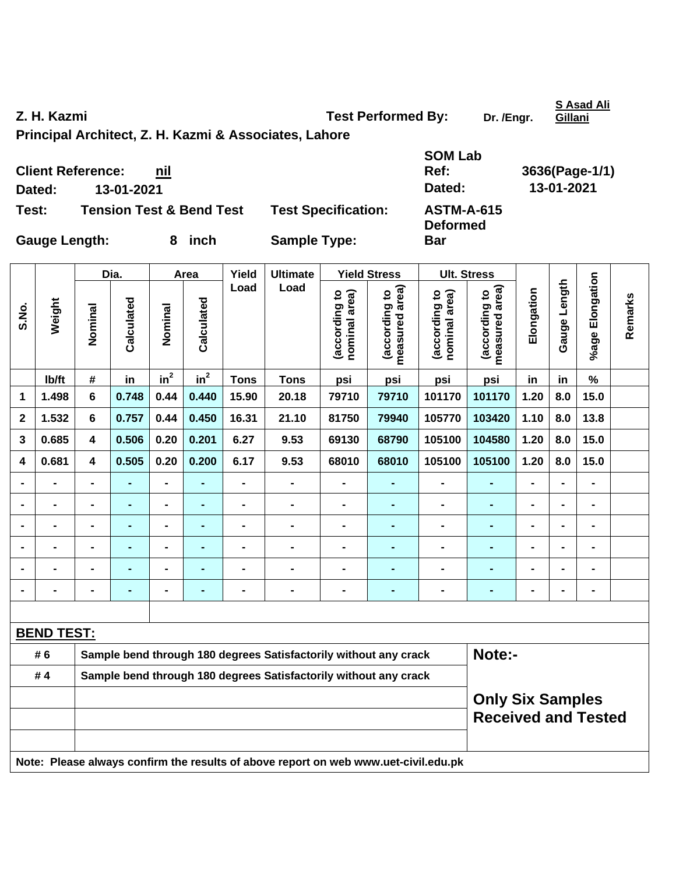**S.No.** 

**Z. H. Kazmi**  Test Performed By: Dr. /Engr.

**Principal Architect, Z. H. Kazmi & Associates, Lahore** 

**SOM Lab Ref: 3636(Page-1/1) Dated: 13-01-2021 Dated: 13-01-2021 Deformed** 

**Bar** 

**Client Reference: nil**

**Test: Tension Test & Bend Test Test Specification: ASTM-A-615** 

Gauge Length: 8 inch Sample Type:

Dia. | Area | Yield | Ultimate | Yield Stress | Ult. Stress **%age Elongation**  %age Elongation **Gauge Length Load Load**  (according to<br>measured area) Gauge Length **measured area) measured area)**  (according to<br>nominal area) (according to<br>measured area) (according to<br>nominal area) **Elongation nominal area) nominal area) (according to (according to (according to (according to**  Elongation **Remarks**  Remarks **Weight Calculated Calculated**  Calculated Calculated **Nominal Nominal**  Nominal Nominal  $\mathsf{lb}/\mathsf{ft}$  # in in<sup>2</sup>  $in^2$  **Tons Tons psi psi psi psi in in % 1 1.498 6 0.748 0.44 0.440 15.90 20.18 79710 79710 101170 101170 1.20 8.0 15.0 2 1.532 6 0.757 0.44 0.450 16.31 21.10 81750 79940 105770 103420 1.10 8.0 13.8 3 0.685 4 0.506 0.20 0.201 6.27 9.53 69130 68790 105100 104580 1.20 8.0 15.0 4 0.681 4 0.505 0.20 0.200 6.17 9.53 68010 68010 105100 105100 1.20 8.0 15.0 - - - - - - - - - - - - - - - - - - - - - - - - - - - - - - - - - - - - - - - - - - - - - - - - - - - - - - - - - - - - - - - - - - - - - - - - - - - - - - - - - - - - - - - - - - BEND TEST:** # 6 Sample bend through 180 degrees Satisfactorily without any crack **Note:**-**# 4 Sample bend through 180 degrees Satisfactorily without any crack Only Six Samples Received and Tested Note: Please always confirm the results of above report on web www.uet-civil.edu.pk** 

**S Asad Ali Gillani**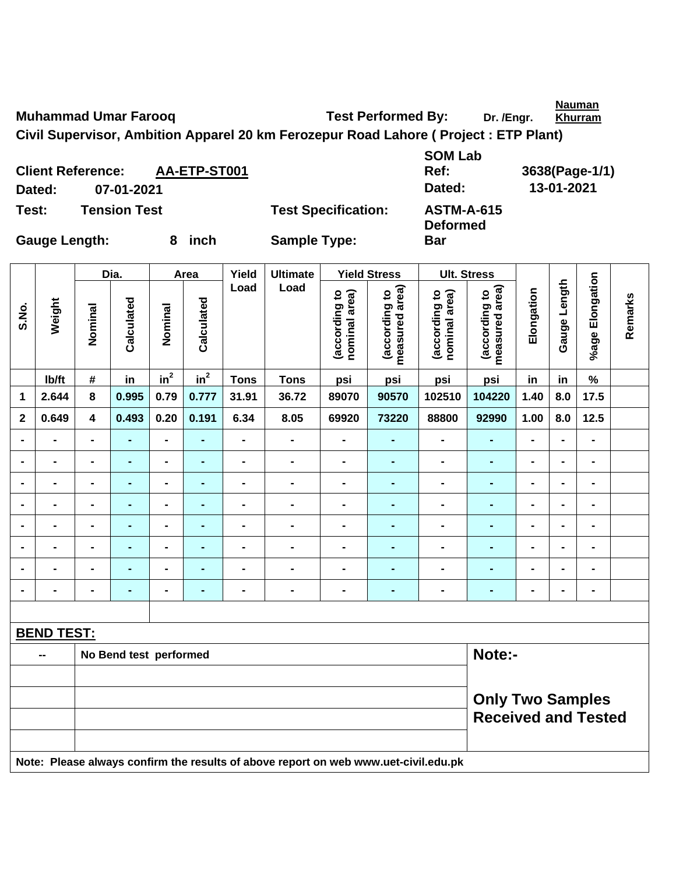**Nauman** 

**Muhammad Umar Farooq State State State Test Performed By: Dr. /Engr.** 

**Bar** 

**Civil Supervisor, Ambition Apparel 20 km Ferozepur Road Lahore ( Project : ETP Plant)** 

**Client Reference: AA-ETP-ST001 Dated: 07-01-2021 Dated: 13-01-2021 Test: Tension Test Test Specification: ASTM-A-615** 

**SOM Lab Ref: 3638(Page-1/1) Deformed** 

**Gauge Length: 8 inch Sample Type:** 

|                |                   |                                                       | Dia.           |                          | Area           | Yield          | <b>Ultimate</b>                                                                     |                                | <b>Yield Stress</b>             |                                | <b>Ult. Stress</b>              |                |                |                              |         |
|----------------|-------------------|-------------------------------------------------------|----------------|--------------------------|----------------|----------------|-------------------------------------------------------------------------------------|--------------------------------|---------------------------------|--------------------------------|---------------------------------|----------------|----------------|------------------------------|---------|
| S.No.          | Weight            | Nominal                                               | Calculated     | Nominal                  | Calculated     | Load           | Load                                                                                | (according to<br>nominal area) | measured area)<br>(according to | (according to<br>nominal area) | measured area)<br>(according to | Elongation     | Gauge Length   | %age Elongation              | Remarks |
|                | Ib/ft             | $\#$                                                  | in             | $in^2$                   | $in^2$         | <b>Tons</b>    | <b>Tons</b>                                                                         | psi                            | psi                             | psi                            | psi                             | in             | in             | $\%$                         |         |
| 1              | 2.644             | 8                                                     | 0.995          | 0.79                     | 0.777          | 31.91          | 36.72                                                                               | 89070                          | 90570                           | 102510                         | 104220                          | 1.40           | 8.0            | 17.5                         |         |
| $\overline{2}$ | 0.649             | $\overline{\mathbf{4}}$                               | 0.493          | 0.20                     | 0.191          | 6.34           | 8.05                                                                                | 69920                          | 73220                           | 88800                          | 92990                           | 1.00           | 8.0            | 12.5                         |         |
|                | $\blacksquare$    | $\blacksquare$                                        | $\blacksquare$ | $\blacksquare$           | $\blacksquare$ | $\blacksquare$ | $\blacksquare$                                                                      | $\blacksquare$                 |                                 | $\blacksquare$                 | $\blacksquare$                  | $\overline{a}$ |                | $\blacksquare$               |         |
|                |                   |                                                       | $\blacksquare$ | $\blacksquare$           |                | $\blacksquare$ | $\blacksquare$                                                                      | $\blacksquare$                 | $\blacksquare$                  | $\blacksquare$                 | $\blacksquare$                  |                |                | $\blacksquare$               |         |
|                | $\blacksquare$    | $\blacksquare$                                        | $\blacksquare$ | $\blacksquare$           | $\blacksquare$ | -              | $\blacksquare$                                                                      | $\blacksquare$                 | $\blacksquare$                  | $\blacksquare$                 | $\blacksquare$                  | $\blacksquare$ | $\blacksquare$ | $\blacksquare$               |         |
| $\blacksquare$ | $\blacksquare$    | $\blacksquare$                                        | $\blacksquare$ | $\overline{\phantom{0}}$ | $\blacksquare$ | $\blacksquare$ | $\blacksquare$                                                                      | $\blacksquare$                 | $\blacksquare$                  | $\blacksquare$                 | $\blacksquare$                  | $\blacksquare$ | $\blacksquare$ | $\qquad \qquad \blacksquare$ |         |
| $\blacksquare$ | $\blacksquare$    | $\blacksquare$                                        | $\blacksquare$ | $\blacksquare$           | $\blacksquare$ | $\blacksquare$ | $\blacksquare$                                                                      | $\blacksquare$                 | $\blacksquare$                  | $\blacksquare$                 | $\blacksquare$                  | $\blacksquare$ | $\blacksquare$ | $\blacksquare$               |         |
|                | $\blacksquare$    | $\blacksquare$                                        | $\blacksquare$ | $\blacksquare$           | $\blacksquare$ | $\blacksquare$ | $\blacksquare$                                                                      | $\blacksquare$                 |                                 | $\blacksquare$                 | $\blacksquare$                  | $\blacksquare$ |                | $\blacksquare$               |         |
|                |                   |                                                       |                | $\blacksquare$           |                |                | $\blacksquare$                                                                      | $\blacksquare$                 |                                 |                                | $\blacksquare$                  |                |                | -                            |         |
|                |                   | $\blacksquare$                                        |                | $\blacksquare$           | ٠              | $\blacksquare$ | $\blacksquare$                                                                      | $\blacksquare$                 | $\blacksquare$                  | $\blacksquare$                 | $\blacksquare$                  | $\blacksquare$ |                | $\blacksquare$               |         |
|                |                   |                                                       |                |                          |                |                |                                                                                     |                                |                                 |                                |                                 |                |                |                              |         |
|                | <b>BEND TEST:</b> |                                                       |                |                          |                |                |                                                                                     |                                |                                 |                                |                                 |                |                |                              |         |
|                | --                | Note:-<br>No Bend test performed                      |                |                          |                |                |                                                                                     |                                |                                 |                                |                                 |                |                |                              |         |
|                |                   |                                                       |                |                          |                |                |                                                                                     |                                |                                 |                                |                                 |                |                |                              |         |
|                |                   | <b>Only Two Samples</b><br><b>Received and Tested</b> |                |                          |                |                |                                                                                     |                                |                                 |                                |                                 |                |                |                              |         |
|                |                   |                                                       |                |                          |                |                | Note: Please always confirm the results of above report on web www.uet-civil.edu.pk |                                |                                 |                                |                                 |                |                |                              |         |

**Khurram**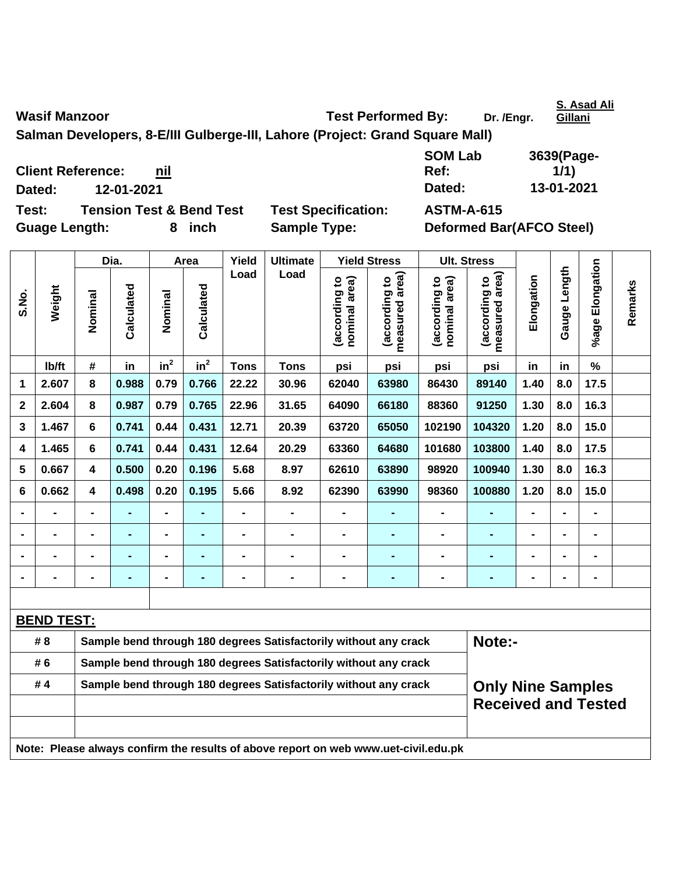| <b>Wasif Manzoor</b> | <b>Test Performed By:</b> | Dr. /Engr. | <u>G</u> |
|----------------------|---------------------------|------------|----------|

**Salman Developers, 8-E/III Gulberge-III, Lahore (Project: Grand Square Mall)** 

**Client Reference:** nil **Dated: 12-01-2021 Dated: 13-01-2021** 

**Test: Tension Test & Bend Test Test Specification: ASTM-A-615** 

Guage Length: 8 inch Sample Type: Deformed Bar(AFCO Steel)

|                |                   |                                                                            | Dia.           |                 | Area            | Yield          | <b>Ultimate</b>                                                                     |                                | <b>Yield Stress</b>                | <b>Ult. Stress</b>                                     |                                 |                |                              |                           |         |
|----------------|-------------------|----------------------------------------------------------------------------|----------------|-----------------|-----------------|----------------|-------------------------------------------------------------------------------------|--------------------------------|------------------------------------|--------------------------------------------------------|---------------------------------|----------------|------------------------------|---------------------------|---------|
| S.No.          | Weight            | Nominal                                                                    | Calculated     | Nominal         | Calculated      | Load           | Load                                                                                | nominal area)<br>(according to | area)<br>(according to<br>measured | nominal area)<br>(according to                         | measured area)<br>(according to | Elongation     | Length<br>Gauge <sup>1</sup> | Elongation<br>$%$ age $ $ | Remarks |
|                | lb/ft             | #                                                                          | in             | in <sup>2</sup> | in <sup>2</sup> | <b>Tons</b>    | <b>Tons</b>                                                                         | psi                            | psi                                | psi                                                    | psi                             | in             | in                           | $\%$                      |         |
| 1              | 2.607             | 8                                                                          | 0.988          | 0.79            | 0.766           | 22.22          | 30.96                                                                               | 62040                          | 63980                              | 86430                                                  | 89140                           | 1.40           | 8.0                          | 17.5                      |         |
| $\mathbf 2$    | 2.604             | 8                                                                          | 0.987          | 0.79            | 0.765           | 22.96          | 31.65                                                                               | 64090                          | 66180                              | 88360                                                  | 91250                           | 1.30           | 8.0                          | 16.3                      |         |
| 3              | 1.467             | 6                                                                          | 0.741          | 0.44            | 0.431           | 12.71          | 20.39                                                                               | 63720                          | 65050                              | 102190                                                 | 104320                          | 1.20           | 8.0                          | 15.0                      |         |
| 4              | 1.465             | 6                                                                          | 0.741          | 0.44            | 0.431           | 12.64          | 20.29                                                                               | 63360                          | 64680                              | 101680                                                 | 103800                          | 1.40           | 8.0                          | 17.5                      |         |
| 5              | 0.667             | 4                                                                          | 0.500          | 0.20            | 0.196           | 5.68           | 8.97                                                                                | 62610                          | 63890                              | 98920                                                  | 100940                          | 1.30           | 8.0                          | 16.3                      |         |
| 6              | 0.662             | 4                                                                          | 0.498          | 0.20            | 0.195           | 5.66           | 8.92                                                                                | 62390                          | 63990                              | 98360                                                  | 100880                          | 1.20           | 8.0                          | 15.0                      |         |
| $\blacksquare$ |                   | $\blacksquare$                                                             | ä,             | $\blacksquare$  |                 | $\blacksquare$ | $\overline{a}$                                                                      | $\blacksquare$                 | ä,                                 | $\blacksquare$                                         | ä,                              | $\overline{a}$ |                              | $\blacksquare$            |         |
|                |                   |                                                                            | $\blacksquare$ |                 |                 |                | -                                                                                   | $\blacksquare$                 |                                    |                                                        | $\blacksquare$                  |                |                              | $\blacksquare$            |         |
| $\blacksquare$ |                   |                                                                            |                |                 |                 |                |                                                                                     | -                              |                                    |                                                        |                                 |                |                              | $\blacksquare$            |         |
| $\blacksquare$ |                   | $\blacksquare$                                                             | $\blacksquare$ | $\blacksquare$  | ۰               |                | $\blacksquare$                                                                      | $\blacksquare$                 | ٠                                  | $\blacksquare$                                         | ٠                               | $\blacksquare$ |                              | $\blacksquare$            |         |
|                |                   |                                                                            |                |                 |                 |                |                                                                                     |                                |                                    |                                                        |                                 |                |                              |                           |         |
|                | <b>BEND TEST:</b> |                                                                            |                |                 |                 |                |                                                                                     |                                |                                    |                                                        |                                 |                |                              |                           |         |
|                | # 8               | Sample bend through 180 degrees Satisfactorily without any crack<br>Note:- |                |                 |                 |                |                                                                                     |                                |                                    |                                                        |                                 |                |                              |                           |         |
|                | #6                |                                                                            |                |                 |                 |                | Sample bend through 180 degrees Satisfactorily without any crack                    |                                |                                    |                                                        |                                 |                |                              |                           |         |
|                | #4                |                                                                            |                |                 |                 |                | Sample bend through 180 degrees Satisfactorily without any crack                    |                                |                                    | <b>Only Nine Samples</b><br><b>Received and Tested</b> |                                 |                |                              |                           |         |
|                |                   |                                                                            |                |                 |                 |                | Note: Please always confirm the results of above report on web www.uet-civil.edu.pk |                                |                                    |                                                        |                                 |                |                              |                           |         |

**SOM Lab Ref: 3639(Page-1/1)** 

**S. Asad Ali Gillani**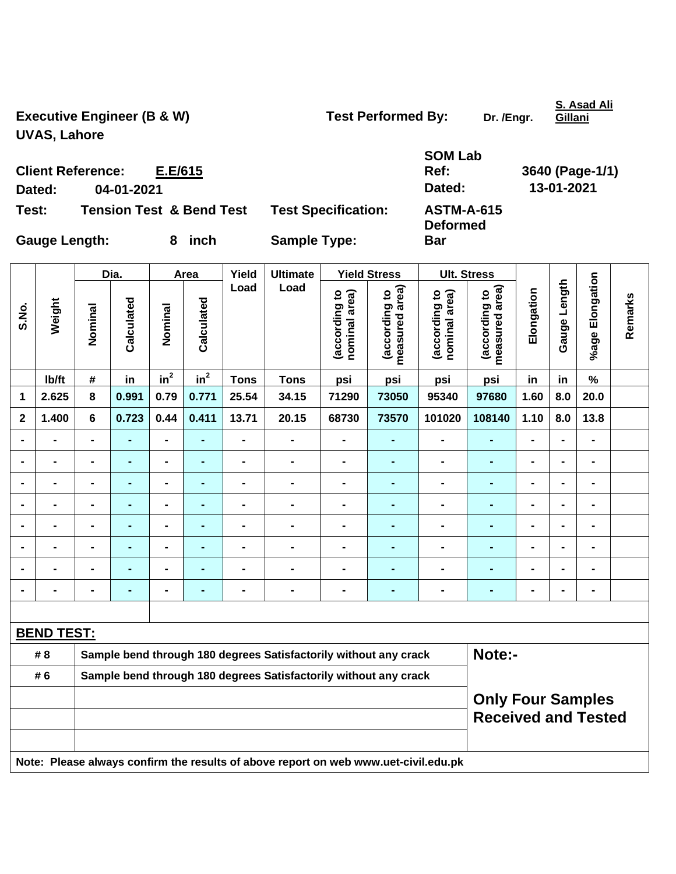Executive Engineer (B & W) Test Performed By: Dr. /Engr. **UVAS, Lahore** 

**Bar** 

**S. Asad Ali Gillani**

**Client Reference: E.E/615 Dated: 04-01-2021 Dated: 13-01-2021 Test: Tension Test & Bend Test Test Specification: ASTM-A-615** 

**SOM Lab Ref: 3640 (Page-1/1) Deformed** 

Gauge Length: 8 inch Sample Type:

|                |                   |                                                                            | Dia.                                                   |                | Area            | Yield                        | <b>Ultimate</b>                                                                     |                                | <b>Yield Stress</b>             |                                | <b>Ult. Stress</b>              |                              |                |                 |         |
|----------------|-------------------|----------------------------------------------------------------------------|--------------------------------------------------------|----------------|-----------------|------------------------------|-------------------------------------------------------------------------------------|--------------------------------|---------------------------------|--------------------------------|---------------------------------|------------------------------|----------------|-----------------|---------|
| S.No.          | Weight            | Nominal                                                                    | Calculated                                             | Nominal        | Calculated      | Load                         | Load                                                                                | (according to<br>nominal area) | (according to<br>measured area) | (according to<br>nominal area) | (according to<br>measured area) | Elongation                   | Gauge Length   | %age Elongation | Remarks |
|                | Ib/ft             | #                                                                          | in                                                     | $in^2$         | $\mathsf{in}^2$ | <b>Tons</b>                  | <b>Tons</b>                                                                         | psi                            | psi                             | psi                            | psi                             | in                           | in             | $\%$            |         |
| 1              | 2.625             | 8                                                                          | 0.991                                                  | 0.79           | 0.771           | 25.54                        | 34.15                                                                               | 71290                          | 73050                           | 95340                          | 97680                           | 1.60                         | 8.0            | 20.0            |         |
| $\mathbf{2}$   | 1.400             | 6                                                                          | 0.723                                                  | 0.44           | 0.411           | 13.71                        | 20.15                                                                               | 68730                          | 73570                           | 101020                         | 108140                          | 1.10                         | 8.0            | 13.8            |         |
| $\blacksquare$ | $\blacksquare$    | $\blacksquare$                                                             | ٠                                                      | $\blacksquare$ | ٠               | $\qquad \qquad \blacksquare$ | $\blacksquare$                                                                      | $\qquad \qquad \blacksquare$   | ٠                               | $\blacksquare$                 | $\blacksquare$                  | $\qquad \qquad \blacksquare$ | $\blacksquare$ | $\blacksquare$  |         |
| $\blacksquare$ | $\blacksquare$    | $\blacksquare$                                                             | $\blacksquare$                                         | $\overline{a}$ | $\blacksquare$  | $\blacksquare$               | $\qquad \qquad \blacksquare$                                                        | $\qquad \qquad \blacksquare$   | ۰                               | $\blacksquare$                 | $\blacksquare$                  | $\qquad \qquad \blacksquare$ | $\blacksquare$ | $\blacksquare$  |         |
|                | $\blacksquare$    | $\blacksquare$                                                             | $\blacksquare$                                         | $\overline{a}$ | ۰               | $\blacksquare$               | $\blacksquare$                                                                      | $\blacksquare$                 | ۰                               | -                              | $\blacksquare$                  | $\blacksquare$               |                | $\blacksquare$  |         |
|                | $\blacksquare$    | L,                                                                         |                                                        | $\blacksquare$ |                 | $\blacksquare$               | $\blacksquare$                                                                      | $\blacksquare$                 | $\blacksquare$                  | $\blacksquare$                 | L.                              | $\blacksquare$               |                | $\blacksquare$  |         |
|                | $\blacksquare$    | $\blacksquare$                                                             | $\blacksquare$                                         | $\blacksquare$ |                 | $\blacksquare$               | $\blacksquare$                                                                      | $\blacksquare$                 | ٠                               | $\blacksquare$                 | $\blacksquare$                  | $\blacksquare$               |                | $\blacksquare$  |         |
|                | $\blacksquare$    | -                                                                          | ٠                                                      | $\blacksquare$ | ۰               | $\blacksquare$               | $\blacksquare$                                                                      | $\blacksquare$                 | ٠                               | $\blacksquare$                 | -                               | $\blacksquare$               | $\blacksquare$ | $\blacksquare$  |         |
|                | $\blacksquare$    | $\blacksquare$                                                             | $\blacksquare$                                         | $\blacksquare$ |                 | $\blacksquare$               | $\blacksquare$                                                                      | $\blacksquare$                 |                                 | $\blacksquare$                 | ÷,                              | $\blacksquare$               |                | $\blacksquare$  |         |
| $\blacksquare$ | $\blacksquare$    | $\blacksquare$                                                             | $\blacksquare$                                         | $\blacksquare$ | $\blacksquare$  | $\blacksquare$               | $\blacksquare$                                                                      | $\blacksquare$                 | ٠                               | $\blacksquare$                 | $\blacksquare$                  | $\blacksquare$               |                | $\blacksquare$  |         |
|                |                   |                                                                            |                                                        |                |                 |                              |                                                                                     |                                |                                 |                                |                                 |                              |                |                 |         |
|                | <b>BEND TEST:</b> |                                                                            |                                                        |                |                 |                              |                                                                                     |                                |                                 |                                |                                 |                              |                |                 |         |
|                | # 8               | Sample bend through 180 degrees Satisfactorily without any crack<br>Note:- |                                                        |                |                 |                              |                                                                                     |                                |                                 |                                |                                 |                              |                |                 |         |
|                | # 6               |                                                                            |                                                        |                |                 |                              | Sample bend through 180 degrees Satisfactorily without any crack                    |                                |                                 |                                |                                 |                              |                |                 |         |
|                |                   |                                                                            | <b>Only Four Samples</b><br><b>Received and Tested</b> |                |                 |                              |                                                                                     |                                |                                 |                                |                                 |                              |                |                 |         |
|                |                   |                                                                            |                                                        |                |                 |                              | Note: Please always confirm the results of above report on web www.uet-civil.edu.pk |                                |                                 |                                |                                 |                              |                |                 |         |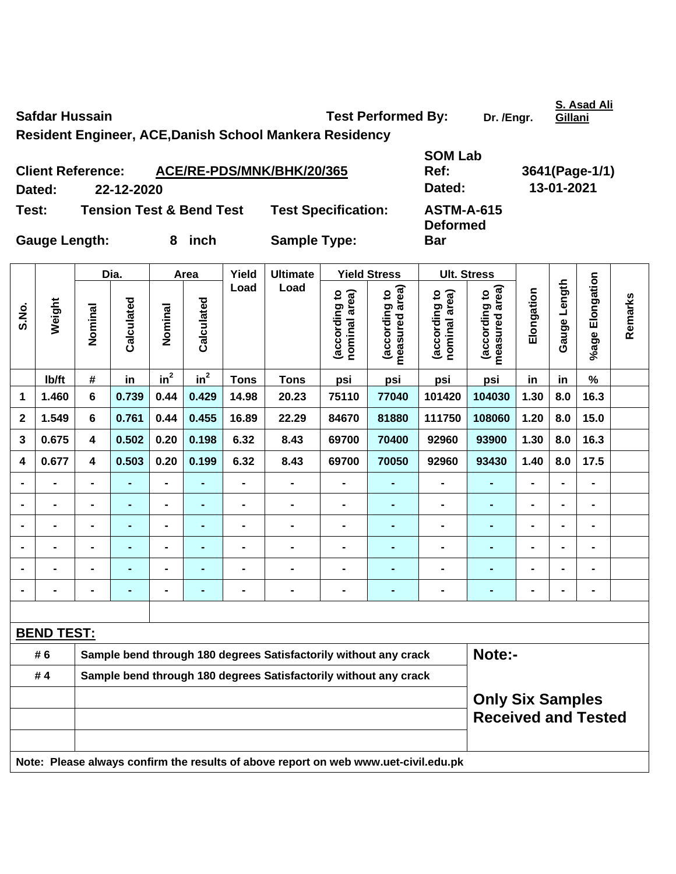Safdar Hussain **Network Constructs Constructs Test Performed By:** Dr. /Engr.

**S. Asad Ali Gillani**

**Resident Engineer, ACE,Danish School Mankera Residency** 

| <b>Client Reference:</b> |            | ACE/RE-PDS/MNK/BHK/20/365           |                            | Ref:                                 | 3641(Page-1 |
|--------------------------|------------|-------------------------------------|----------------------------|--------------------------------------|-------------|
| Dated:                   | 22-12-2020 |                                     |                            | Dated:                               | 13-01-2021  |
| Test:                    |            | <b>Tension Test &amp; Bend Test</b> | <b>Test Specification:</b> | <b>ASTM-A-615</b><br><b>Deformed</b> |             |
| <b>Gauge Length:</b>     |            | inch                                | <b>Sample Type:</b>        | <b>Bar</b>                           |             |

**SOM Lab Ref: 3641(Page-1/1) Deformed** 

Dia. | Area | Yield | Ultimate | Yield Stress | Ult. Stress **%age Elongation**  %age Elongation **Gauge Length Load Load**  (according to<br>measured area) Gauge Length **measured area) measured area)**  (according to<br>nominal area) (according to<br>measured area) (according to<br>nominal area) **Elongation nominal area) nominal area) (according to (according to (according to (according to**  Elongation **Remarks**  Remarks **Weight Calculated Calculated**  Calculated Calculated **S.No. Nominal Nominal**  Nominal Nominal  $\mathsf{lb}/\mathsf{ft}$  # in in<sup>2</sup>  $in^2$  **Tons Tons psi psi psi psi in in % 1 1.460 6 0.739 0.44 0.429 14.98 20.23 75110 77040 101420 104030 1.30 8.0 16.3 2 1.549 6 0.761 0.44 0.455 16.89 22.29 84670 81880 111750 108060 1.20 8.0 15.0 3 0.675 4 0.502 0.20 0.198 6.32 8.43 69700 70400 92960 93900 1.30 8.0 16.3 4 0.677 4 0.503 0.20 0.199 6.32 8.43 69700 70050 92960 93430 1.40 8.0 17.5 - - - - - - - - - - - - - - - - - - - - - - - - - - - - - - - - - - - - - - - - - - - - - - - - - - - - - - - - - - - - - - - - - - - - - - - - - - - - - - - - - - - - - - - - - - BEND TEST:** #6 Sample bend through 180 degrees Satisfactorily without any crack **Note:-# 4 Sample bend through 180 degrees Satisfactorily without any crack Only Six Samples Received and Tested Note: Please always confirm the results of above report on web www.uet-civil.edu.pk**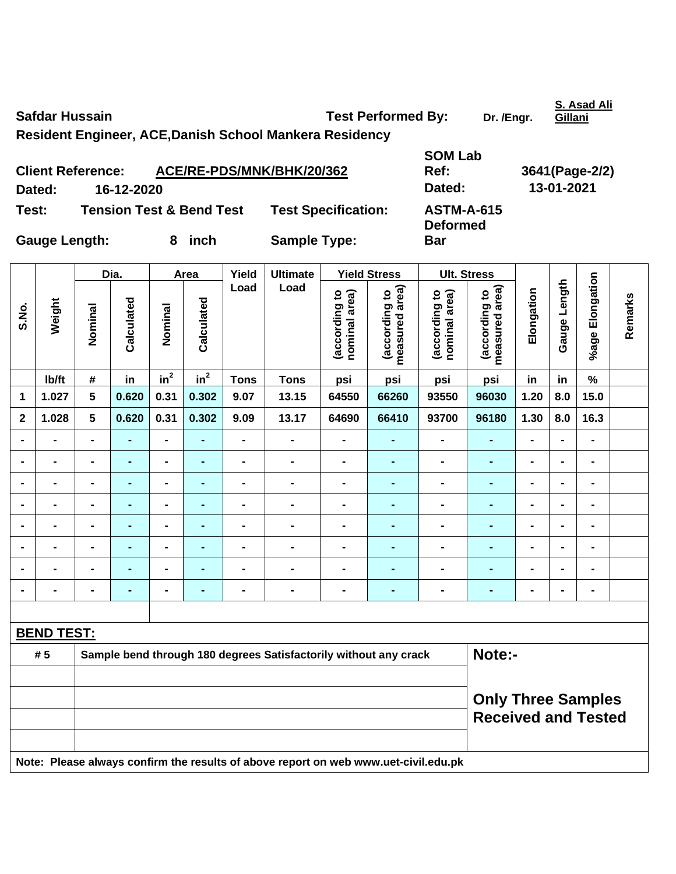Safdar Hussain **Contract Contract Contract Contract Contract Contract Contract Contract Contract Contract Contract Contract Contract Contract Contract Contract Contract Contract Contract Contract Contract Contract Contract Resident Engineer, ACE,Danish School Mankera Residency SOM Lab** 

|                      | <b>Client Reference:</b> | ACE/RE-PDS/MNK/BHK/20/362           |                            | Ref:                                 | 3641(Page-2 |
|----------------------|--------------------------|-------------------------------------|----------------------------|--------------------------------------|-------------|
| Dated:               | 16-12-2020               |                                     |                            | Dated:                               | 13-01-2021  |
| Test:                |                          | <b>Tension Test &amp; Bend Test</b> | <b>Test Specification:</b> | <b>ASTM-A-615</b><br><b>Deformed</b> |             |
| <b>Gauge Length:</b> |                          | inch<br>8                           | <b>Sample Type:</b>        | <b>Bar</b>                           |             |

|                         |                   |                 | Dia.           |                          | Area           | Yield          | <b>Ultimate</b>                                                  |                                | <b>Yield Stress</b>             |                                | <b>Ult. Stress</b>              |                |                |                              |         |
|-------------------------|-------------------|-----------------|----------------|--------------------------|----------------|----------------|------------------------------------------------------------------|--------------------------------|---------------------------------|--------------------------------|---------------------------------|----------------|----------------|------------------------------|---------|
| S.No.                   | Weight            | Nominal         | Calculated     | Nominal                  | Calculated     | Load           | Load                                                             | (according to<br>nominal area) | measured area)<br>(according to | (according to<br>nominal area) | (according to<br>measured area) | Elongation     | Gauge Length   | %age Elongation              | Remarks |
|                         | Ib/ft             | $\#$            | in             | in <sup>2</sup>          | $in^2$         | <b>Tons</b>    | <b>Tons</b>                                                      | psi                            | psi                             | psi                            | psi                             | in             | in             | $\%$                         |         |
| 1                       | 1.027             | $5\phantom{.0}$ | 0.620          | 0.31                     | 0.302          | 9.07           | 13.15                                                            | 64550                          | 66260                           | 93550                          | 96030                           | 1.20           | 8.0            | 15.0                         |         |
| $\overline{\mathbf{2}}$ | 1.028             | $5\phantom{a}$  | 0.620          | 0.31                     | 0.302          | 9.09           | 13.17                                                            | 64690                          | 66410                           | 93700                          | 96180                           | 1.30           | 8.0            | 16.3                         |         |
| $\blacksquare$          |                   | $\blacksquare$  |                | $\blacksquare$           |                | $\blacksquare$ | $\blacksquare$                                                   | $\blacksquare$                 |                                 | $\blacksquare$                 |                                 |                |                |                              |         |
| $\blacksquare$          | $\blacksquare$    | $\blacksquare$  | $\blacksquare$ | $\blacksquare$           | $\blacksquare$ | $\blacksquare$ | $\blacksquare$                                                   | $\blacksquare$                 | $\blacksquare$                  | $\blacksquare$                 | $\blacksquare$                  | $\blacksquare$ | $\blacksquare$ | $\qquad \qquad \blacksquare$ |         |
| $\blacksquare$          |                   | $\blacksquare$  | $\blacksquare$ | $\blacksquare$           | $\blacksquare$ | $\blacksquare$ | $\blacksquare$                                                   | $\blacksquare$                 | $\blacksquare$                  | $\qquad \qquad \blacksquare$   | ٠                               | $\blacksquare$ | $\blacksquare$ | $\blacksquare$               |         |
| $\blacksquare$          |                   |                 | $\blacksquare$ | $\blacksquare$           | $\blacksquare$ | $\blacksquare$ | $\blacksquare$                                                   | $\blacksquare$                 | $\blacksquare$                  | $\blacksquare$                 | ٠                               | $\blacksquare$ | $\blacksquare$ |                              |         |
| $\blacksquare$          |                   | $\blacksquare$  | $\blacksquare$ | ۰                        | -              | $\blacksquare$ | $\blacksquare$                                                   | $\blacksquare$                 | $\blacksquare$                  | $\blacksquare$                 | ٠                               | $\blacksquare$ | $\blacksquare$ | $\blacksquare$               |         |
| $\blacksquare$          |                   | $\blacksquare$  | ٠              | $\blacksquare$           | $\blacksquare$ | $\blacksquare$ | $\qquad \qquad \blacksquare$                                     | $\blacksquare$                 | $\blacksquare$                  | $\blacksquare$                 | ٠                               | $\blacksquare$ | $\blacksquare$ | $\blacksquare$               |         |
|                         | $\blacksquare$    | $\blacksquare$  | $\blacksquare$ | $\overline{\phantom{0}}$ | ٠              | $\blacksquare$ | $\overline{a}$                                                   | $\blacksquare$                 | Ξ.                              | $\qquad \qquad \blacksquare$   | ÷,                              | $\blacksquare$ | $\blacksquare$ | $\blacksquare$               |         |
|                         |                   | $\blacksquare$  | $\blacksquare$ | $\blacksquare$           | $\blacksquare$ | $\blacksquare$ | $\blacksquare$                                                   | $\blacksquare$                 |                                 | $\blacksquare$                 | ٠                               | $\blacksquare$ | $\blacksquare$ | $\blacksquare$               |         |
|                         |                   |                 |                |                          |                |                |                                                                  |                                |                                 |                                |                                 |                |                |                              |         |
|                         | <b>BEND TEST:</b> |                 |                |                          |                |                |                                                                  |                                |                                 |                                |                                 |                |                |                              |         |
|                         | # 5               |                 |                |                          |                |                | Sample bend through 180 degrees Satisfactorily without any crack |                                |                                 |                                | Note:-                          |                |                |                              |         |
|                         |                   |                 |                |                          |                |                |                                                                  |                                |                                 |                                |                                 |                |                |                              |         |
|                         |                   |                 |                |                          |                |                |                                                                  |                                |                                 |                                | <b>Only Three Samples</b>       |                |                |                              |         |
|                         |                   |                 |                |                          |                |                |                                                                  |                                |                                 |                                | <b>Received and Tested</b>      |                |                |                              |         |
|                         |                   |                 |                |                          |                |                |                                                                  |                                |                                 |                                |                                 |                |                |                              |         |
|                         |                   |                 |                |                          |                |                |                                                                  |                                |                                 |                                |                                 |                |                |                              |         |

**Note: Please always confirm the results of above report on web www.uet-civil.edu.pk** 

**Ref: 3641(Page-2/2)** 

**S. Asad Ali Gillani**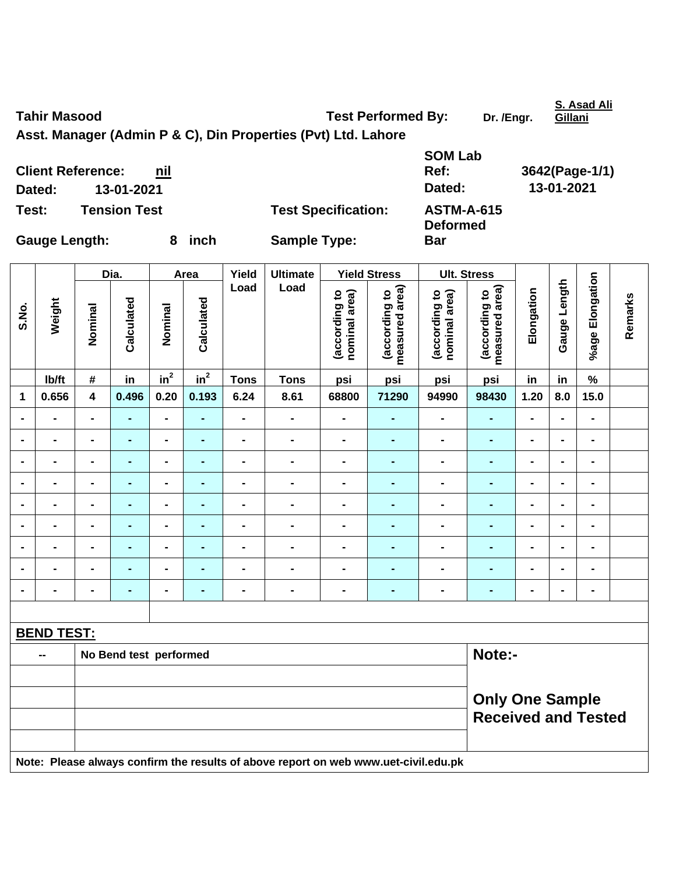**S. Asad Ali** 

**Asst. Manager (Admin P & C), Din Properties (Pvt) Ltd. Lahore** 

**SOM Lab Ref: 3642(Page-1/1) Dated: 13-01-2021 Dated: 13-01-2021 Test: Tension Test Test Specification: ASTM-A-615 Deformed Bar** 

**Client Reference:** nil

Gauge Length: 8 inch Sample Type:

|                |                   | Dia.                    |                        | Area                     | Yield          | <b>Ultimate</b> |                                                                                     | <b>Yield Stress</b>            | <b>Ult. Stress</b>              |                                |                                                      |                |                |                 |         |
|----------------|-------------------|-------------------------|------------------------|--------------------------|----------------|-----------------|-------------------------------------------------------------------------------------|--------------------------------|---------------------------------|--------------------------------|------------------------------------------------------|----------------|----------------|-----------------|---------|
| S.No.          | Weight            | Nominal                 | Calculated             | Nominal                  | Calculated     | Load            | Load                                                                                | (according to<br>nominal area) | measured area)<br>(according to | nominal area)<br>(according to | measured area)<br>(according to                      | Elongation     | Gauge Length   | %age Elongation | Remarks |
|                | Ib/ft             | $\#$                    | in                     | in <sup>2</sup>          | $in^2$         | <b>Tons</b>     | <b>Tons</b>                                                                         | psi                            | psi                             | psi                            | psi                                                  | in             | in             | $\%$            |         |
| 1              | 0.656             | $\overline{\mathbf{4}}$ | 0.496                  | 0.20                     | 0.193          | 6.24            | 8.61                                                                                | 68800                          | 71290                           | 94990                          | 98430                                                | 1.20           | 8.0            | 15.0            |         |
| $\blacksquare$ | $\blacksquare$    | $\blacksquare$          | ÷,                     | $\blacksquare$           | $\blacksquare$ | $\blacksquare$  | $\qquad \qquad \blacksquare$                                                        | $\qquad \qquad \blacksquare$   | ۰                               | $\blacksquare$                 | ٠                                                    | $\blacksquare$ | ÷              | $\blacksquare$  |         |
| $\blacksquare$ | $\blacksquare$    | $\blacksquare$          | ٠                      | $\blacksquare$           | $\blacksquare$ | $\blacksquare$  | $\blacksquare$                                                                      | $\blacksquare$                 | $\blacksquare$                  | $\blacksquare$                 | ٠                                                    | $\blacksquare$ | $\blacksquare$ | $\blacksquare$  |         |
|                |                   | $\blacksquare$          | $\blacksquare$         | ۰                        | ٠              | $\blacksquare$  | $\qquad \qquad \blacksquare$                                                        | $\blacksquare$                 | ۰                               | $\blacksquare$                 | ٠                                                    | $\blacksquare$ | $\blacksquare$ | $\blacksquare$  |         |
| $\blacksquare$ |                   | $\blacksquare$          | $\blacksquare$         | $\blacksquare$           | ٠              | $\blacksquare$  | $\qquad \qquad \blacksquare$                                                        | $\blacksquare$                 | -                               | $\blacksquare$                 | $\blacksquare$                                       | $\blacksquare$ | $\blacksquare$ | $\blacksquare$  |         |
| $\blacksquare$ |                   | $\blacksquare$          | ÷,                     | ۰                        | ٠              | $\blacksquare$  | $\blacksquare$                                                                      | $\blacksquare$                 | -                               | $\blacksquare$                 | $\blacksquare$                                       | $\blacksquare$ | $\blacksquare$ | $\blacksquare$  |         |
| $\blacksquare$ |                   | $\blacksquare$          | ۰                      | Ξ.                       | ٠              | $\blacksquare$  | $\blacksquare$                                                                      | $\blacksquare$                 | ۰                               | $\blacksquare$                 | $\blacksquare$                                       | $\blacksquare$ | $\blacksquare$ | $\blacksquare$  |         |
| $\blacksquare$ |                   | $\blacksquare$          | ٠                      | $\overline{\phantom{0}}$ | $\blacksquare$ | $\blacksquare$  | $\blacksquare$                                                                      | $\blacksquare$                 | $\blacksquare$                  | $\blacksquare$                 | ٠                                                    | $\blacksquare$ | $\blacksquare$ | $\blacksquare$  |         |
|                |                   |                         | $\overline{a}$         | $\blacksquare$           | ٠              | $\blacksquare$  | $\blacksquare$                                                                      | $\blacksquare$                 | $\blacksquare$                  | $\blacksquare$                 | $\blacksquare$                                       |                |                | $\blacksquare$  |         |
| $\blacksquare$ |                   | $\blacksquare$          | ÷,                     | $\blacksquare$           | ٠              | -               | $\qquad \qquad \blacksquare$                                                        | $\qquad \qquad \blacksquare$   | -                               | $\blacksquare$                 | $\blacksquare$                                       | $\blacksquare$ | $\blacksquare$ | $\blacksquare$  |         |
|                |                   |                         |                        |                          |                |                 |                                                                                     |                                |                                 |                                |                                                      |                |                |                 |         |
|                | <b>BEND TEST:</b> |                         |                        |                          |                |                 |                                                                                     |                                |                                 |                                |                                                      |                |                |                 |         |
|                | --                |                         | No Bend test performed |                          |                |                 |                                                                                     |                                |                                 |                                | Note:-                                               |                |                |                 |         |
|                |                   |                         |                        |                          |                |                 |                                                                                     |                                |                                 |                                |                                                      |                |                |                 |         |
|                |                   |                         |                        |                          |                |                 |                                                                                     |                                |                                 |                                | <b>Only One Sample</b><br><b>Received and Tested</b> |                |                |                 |         |
|                |                   |                         |                        |                          |                |                 |                                                                                     |                                |                                 |                                |                                                      |                |                |                 |         |
|                |                   |                         |                        |                          |                |                 | Note: Please always confirm the results of above report on web www.uet-civil.edu.pk |                                |                                 |                                |                                                      |                |                |                 |         |

Tahir Masood **Tahir Masood Test Performed By:** Dr. /Engr.

**Gillani**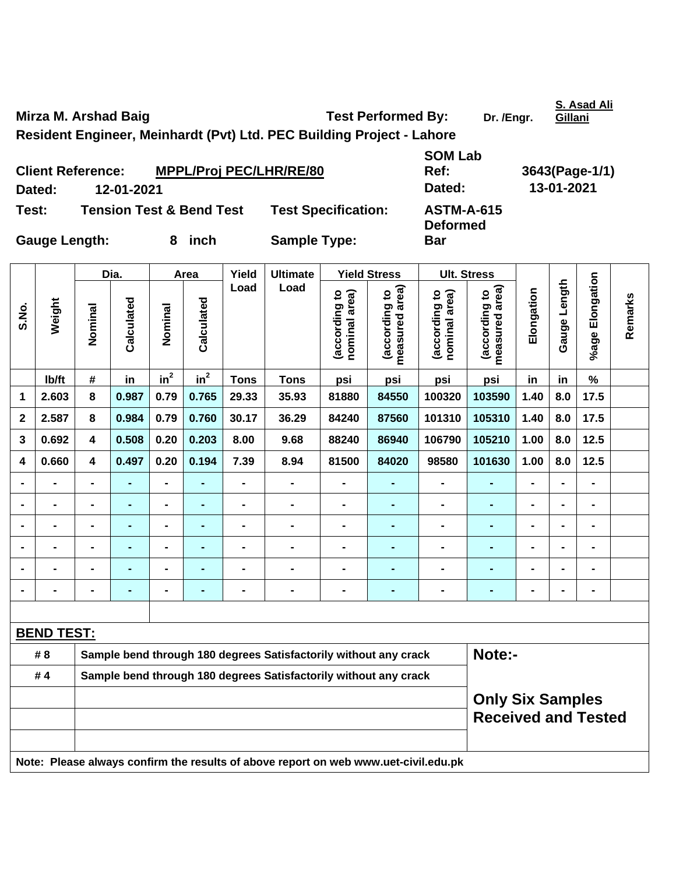Mirza M. Arshad Baig **Test Performed By:** Dr. /Engr.

**S. Asad Ali** 

**Resident Engineer, Meinhardt (Pvt) Ltd. PEC Building Project - Lahore** 

|                      | <b>Client Reference:</b> | <b>MPPL/Proj PEC/LHR/RE/80</b>      |                            | Ref:                                 | 3643(Page-1 |
|----------------------|--------------------------|-------------------------------------|----------------------------|--------------------------------------|-------------|
| Dated:               | 12-01-2021               |                                     |                            | Dated:                               | 13-01-2021  |
| Test:                |                          | <b>Tension Test &amp; Bend Test</b> | <b>Test Specification:</b> | <b>ASTM-A-615</b><br><b>Deformed</b> |             |
| <b>Gauge Length:</b> |                          | inch<br>8                           | <b>Sample Type:</b>        | <b>Bar</b>                           |             |

**SOM Lab Ref: 3643(Page-1/1) n:** ASTM-A-615 **Deformed Bar** 

|             |                   |                                                                            | Dia.           |                 | Area           | Yield          | <b>Ultimate</b>                                                                     |                                                                  | <b>Yield Stress</b>                                   |                                | <b>Ult. Stress</b>              |                              |                              |                 |         |
|-------------|-------------------|----------------------------------------------------------------------------|----------------|-----------------|----------------|----------------|-------------------------------------------------------------------------------------|------------------------------------------------------------------|-------------------------------------------------------|--------------------------------|---------------------------------|------------------------------|------------------------------|-----------------|---------|
| S.No.       | Weight            | Nominal                                                                    | Calculated     | Nominal         | Calculated     | Load           | Load                                                                                | according to<br>nominal area)                                    | measured area)<br>(according to                       | (according to<br>nominal area) | measured area)<br>(according to | Elongation                   | Gauge Length                 | %age Elongation | Remarks |
|             | Ib/ft             | #                                                                          | in             | in <sup>2</sup> | $in^2$         | <b>Tons</b>    | <b>Tons</b>                                                                         | psi                                                              | psi                                                   | psi                            | psi                             | in                           | in                           | $\%$            |         |
| 1           | 2.603             | 8                                                                          | 0.987          | 0.79            | 0.765          | 29.33          | 35.93                                                                               | 81880                                                            | 84550                                                 | 100320                         | 103590                          | 1.40                         | 8.0                          | 17.5            |         |
| $\mathbf 2$ | 2.587             | 8                                                                          | 0.984          | 0.79            | 0.760          | 30.17          | 36.29                                                                               | 84240                                                            | 87560                                                 | 101310                         | 105310                          | 1.40                         | 8.0                          | 17.5            |         |
| 3           | 0.692             | 4                                                                          | 0.508          | 0.20            | 0.203          | 8.00           | 9.68                                                                                | 88240                                                            | 86940                                                 | 106790                         | 105210                          | 1.00                         | 8.0                          | 12.5            |         |
| 4           | 0.660             | 4                                                                          | 0.497          | 0.20            | 0.194          | 7.39           | 8.94                                                                                | 81500                                                            | 84020                                                 | 98580                          | 101630                          | 1.00                         | 8.0                          | $12.5$          |         |
|             | $\blacksquare$    | $\blacksquare$                                                             | ä,             | L,              |                | $\blacksquare$ | $\overline{\phantom{0}}$                                                            | $\overline{\phantom{a}}$                                         | $\blacksquare$                                        | $\blacksquare$                 | $\blacksquare$                  | $\overline{a}$               | $\blacksquare$               | $\blacksquare$  |         |
|             |                   |                                                                            | $\blacksquare$ | $\blacksquare$  |                |                |                                                                                     |                                                                  | $\blacksquare$                                        | Ξ.                             |                                 |                              |                              | $\blacksquare$  |         |
|             | -                 |                                                                            | ÷              | $\blacksquare$  |                |                |                                                                                     |                                                                  | $\blacksquare$                                        | $\blacksquare$                 | ٠                               | $\blacksquare$               | $\blacksquare$               | $\blacksquare$  |         |
|             | $\blacksquare$    | $\blacksquare$                                                             | ۰              | $\blacksquare$  | $\blacksquare$ | $\blacksquare$ | $\blacksquare$                                                                      | $\blacksquare$                                                   | $\blacksquare$                                        | $\blacksquare$                 | $\blacksquare$                  | $\qquad \qquad \blacksquare$ | $\qquad \qquad \blacksquare$ | $\blacksquare$  |         |
|             | $\blacksquare$    | $\blacksquare$                                                             | $\blacksquare$ | $\blacksquare$  |                | $\blacksquare$ | $\blacksquare$                                                                      | $\blacksquare$                                                   | $\blacksquare$                                        | $\blacksquare$                 | $\blacksquare$                  | L,                           | $\blacksquare$               | $\blacksquare$  |         |
|             | -                 | -                                                                          | $\blacksquare$ | $\blacksquare$  |                | $\blacksquare$ | $\blacksquare$                                                                      | $\blacksquare$                                                   | $\blacksquare$                                        | $\blacksquare$                 | ٠                               | $\blacksquare$               | $\blacksquare$               | $\blacksquare$  |         |
|             |                   |                                                                            |                |                 |                |                |                                                                                     |                                                                  |                                                       |                                |                                 |                              |                              |                 |         |
|             | <b>BEND TEST:</b> |                                                                            |                |                 |                |                |                                                                                     |                                                                  |                                                       |                                |                                 |                              |                              |                 |         |
|             | # 8               | Note:-<br>Sample bend through 180 degrees Satisfactorily without any crack |                |                 |                |                |                                                                                     |                                                                  |                                                       |                                |                                 |                              |                              |                 |         |
|             | #4                |                                                                            |                |                 |                |                |                                                                                     | Sample bend through 180 degrees Satisfactorily without any crack |                                                       |                                |                                 |                              |                              |                 |         |
|             |                   |                                                                            |                |                 |                |                |                                                                                     |                                                                  | <b>Only Six Samples</b><br><b>Received and Tested</b> |                                |                                 |                              |                              |                 |         |
|             |                   |                                                                            |                |                 |                |                | Note: Please always confirm the results of above report on web www.uet-civil.edu.pk |                                                                  |                                                       |                                |                                 |                              |                              |                 |         |

**Gillani**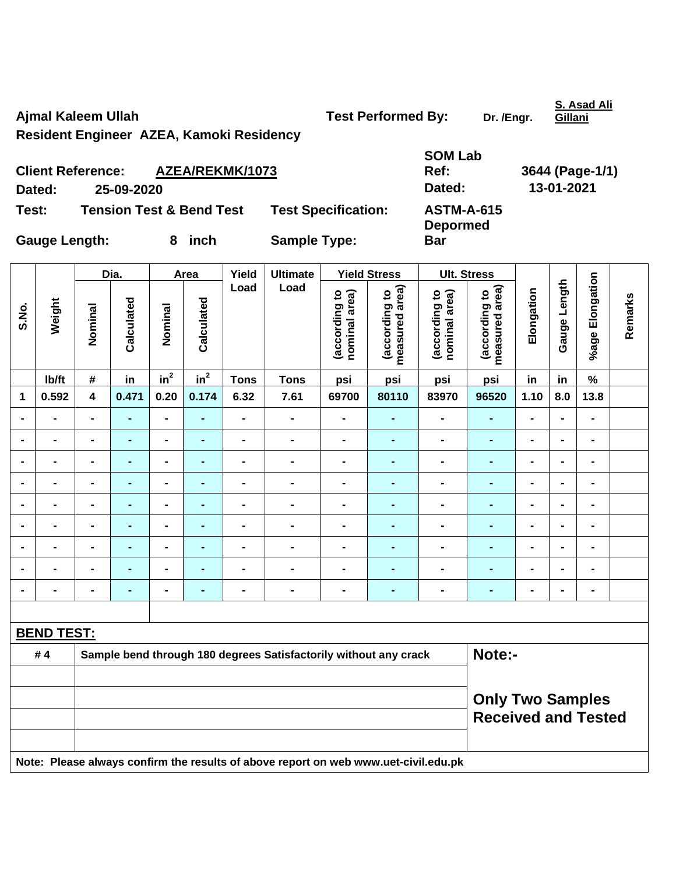Ajmal Kaleem Ullah **Test Performed By:** Dr. /Engr.

**S. Asad Ali** 

**Resident Engineer AZEA, Kamoki Residency** 

| <b>Client Reference:</b> |            | AZEA/REKMK/1073                     |                            | <b>SOM Lab</b><br>Ref:               | 3644 (Page-1/1) |
|--------------------------|------------|-------------------------------------|----------------------------|--------------------------------------|-----------------|
| Dated:                   | 25-09-2020 |                                     |                            | Dated:                               | 13-01-2021      |
| Test:                    |            | <b>Tension Test &amp; Bend Test</b> | <b>Test Specification:</b> | <b>ASTM-A-615</b><br><b>Depormed</b> |                 |
| <b>Gauge Length:</b>     |            | 8 inch                              | <b>Sample Type:</b>        | <b>Bar</b>                           |                 |

| S.No.             | Weight                                                                              | Dia.                                                             |                | Area                         |                 | Yield          | <b>Ultimate</b>              |                                | <b>Yield Stress</b>             |                                | <b>Ult. Stress</b>                                    |                |                |                 |         |
|-------------------|-------------------------------------------------------------------------------------|------------------------------------------------------------------|----------------|------------------------------|-----------------|----------------|------------------------------|--------------------------------|---------------------------------|--------------------------------|-------------------------------------------------------|----------------|----------------|-----------------|---------|
|                   |                                                                                     | Nominal                                                          | Calculated     | Nominal                      | Calculated      | Load           | Load                         | (according to<br>nominal area) | (according to<br>measured area) | (according to<br>nominal area) | measured area)<br>(according to                       | Elongation     | Gauge Length   | %age Elongation | Remarks |
|                   | Ib/ft                                                                               | $\#$                                                             | in             | in <sup>2</sup>              | $\mathsf{in}^2$ | <b>Tons</b>    | <b>Tons</b>                  | psi                            | psi                             | psi                            | psi                                                   | in             | in             | %               |         |
| $\mathbf 1$       | 0.592                                                                               | $\overline{\mathbf{4}}$                                          | 0.471          | 0.20                         | 0.174           | 6.32           | 7.61                         | 69700                          | 80110                           | 83970                          | 96520                                                 | 1.10           | 8.0            | 13.8            |         |
| $\blacksquare$    | $\blacksquare$                                                                      | $\blacksquare$                                                   | ۰              | $\blacksquare$               | ٠               | $\blacksquare$ | $\qquad \qquad \blacksquare$ | $\blacksquare$                 | $\blacksquare$                  | $\qquad \qquad \blacksquare$   | $\blacksquare$                                        | $\blacksquare$ | $\blacksquare$ | $\blacksquare$  |         |
|                   | $\blacksquare$                                                                      | $\blacksquare$                                                   | ۰              | $\blacksquare$               | $\blacksquare$  | $\blacksquare$ | $\qquad \qquad \blacksquare$ | $\blacksquare$                 | $\blacksquare$                  | $\qquad \qquad \blacksquare$   | $\blacksquare$                                        | $\blacksquare$ | $\overline{a}$ | $\blacksquare$  |         |
| $\blacksquare$    | $\blacksquare$                                                                      | $\blacksquare$                                                   | $\blacksquare$ | $\blacksquare$               | $\blacksquare$  | $\blacksquare$ | $\blacksquare$               | $\blacksquare$                 | $\blacksquare$                  | $\blacksquare$                 | $\blacksquare$                                        | $\blacksquare$ | $\blacksquare$ | $\blacksquare$  |         |
|                   | $\blacksquare$                                                                      | $\blacksquare$                                                   | $\blacksquare$ | $\blacksquare$               | $\blacksquare$  | $\blacksquare$ | $\blacksquare$               | $\blacksquare$                 | $\blacksquare$                  | $\blacksquare$                 | $\blacksquare$                                        | $\blacksquare$ | $\blacksquare$ | $\blacksquare$  |         |
|                   | $\blacksquare$                                                                      | $\blacksquare$                                                   | $\overline{a}$ | $\blacksquare$               | $\blacksquare$  | $\blacksquare$ | $\blacksquare$               | $\blacksquare$                 | $\blacksquare$                  | $\blacksquare$                 | $\blacksquare$                                        | $\blacksquare$ | $\blacksquare$ | $\blacksquare$  |         |
|                   |                                                                                     |                                                                  |                | $\blacksquare$               |                 |                | $\blacksquare$               | $\blacksquare$                 |                                 | $\blacksquare$                 | $\blacksquare$                                        | $\blacksquare$ | $\blacksquare$ | $\blacksquare$  |         |
|                   | $\blacksquare$                                                                      | $\blacksquare$                                                   | $\blacksquare$ | $\qquad \qquad \blacksquare$ | $\blacksquare$  | $\blacksquare$ | $\blacksquare$               | $\blacksquare$                 | $\blacksquare$                  | $\blacksquare$                 | ÷,                                                    | $\blacksquare$ | $\blacksquare$ | $\blacksquare$  |         |
|                   | $\blacksquare$                                                                      |                                                                  | $\blacksquare$ | $\qquad \qquad \blacksquare$ | $\blacksquare$  | $\blacksquare$ | $\blacksquare$               | $\blacksquare$                 | $\blacksquare$                  | $\blacksquare$                 | $\blacksquare$                                        | $\blacksquare$ | $\blacksquare$ | $\blacksquare$  |         |
| $\blacksquare$    | $\blacksquare$                                                                      | $\blacksquare$                                                   | ٠              | $\blacksquare$               | $\blacksquare$  | $\blacksquare$ | $\blacksquare$               | $\blacksquare$                 | $\blacksquare$                  | $\blacksquare$                 | $\blacksquare$                                        | $\blacksquare$ | $\blacksquare$ | $\blacksquare$  |         |
|                   |                                                                                     |                                                                  |                |                              |                 |                |                              |                                |                                 |                                |                                                       |                |                |                 |         |
| <b>BEND TEST:</b> |                                                                                     |                                                                  |                |                              |                 |                |                              |                                |                                 |                                |                                                       |                |                |                 |         |
|                   | #4                                                                                  | Sample bend through 180 degrees Satisfactorily without any crack |                |                              |                 |                |                              |                                |                                 |                                | Note:-                                                |                |                |                 |         |
|                   |                                                                                     |                                                                  |                |                              |                 |                |                              |                                |                                 |                                |                                                       |                |                |                 |         |
|                   |                                                                                     |                                                                  |                |                              |                 |                |                              |                                |                                 |                                | <b>Only Two Samples</b><br><b>Received and Tested</b> |                |                |                 |         |
|                   | Note: Please always confirm the results of above report on web www.uet-civil.edu.pk |                                                                  |                |                              |                 |                |                              |                                |                                 |                                |                                                       |                |                |                 |         |

**Gillani**